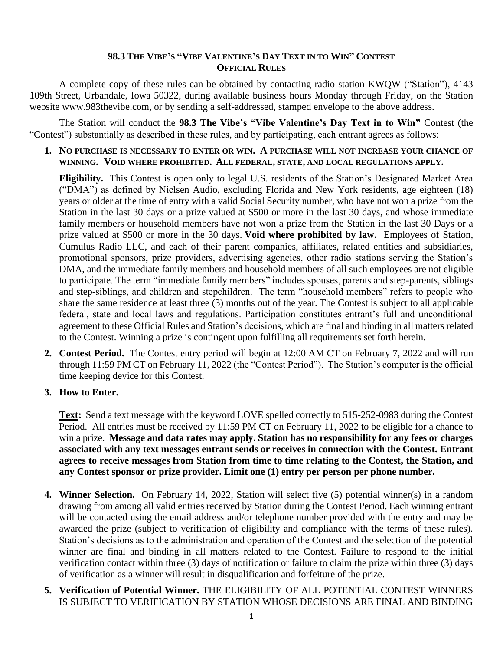## **98.3 THE VIBE'S "VIBE VALENTINE'S DAY TEXT IN TO WIN" CONTEST OFFICIAL RULES**

A complete copy of these rules can be obtained by contacting radio station KWQW ("Station"), 4143 109th Street, Urbandale, Iowa 50322, during available business hours Monday through Friday, on the Station website www.983thevibe.com, or by sending a self-addressed, stamped envelope to the above address.

The Station will conduct the **98.3 The Vibe's "Vibe Valentine's Day Text in to Win"** Contest (the "Contest") substantially as described in these rules, and by participating, each entrant agrees as follows:

**1. NO PURCHASE IS NECESSARY TO ENTER OR WIN. A PURCHASE WILL NOT INCREASE YOUR CHANCE OF WINNING. VOID WHERE PROHIBITED. ALL FEDERAL, STATE, AND LOCAL REGULATIONS APPLY.**

**Eligibility.** This Contest is open only to legal U.S. residents of the Station's Designated Market Area ("DMA") as defined by Nielsen Audio, excluding Florida and New York residents, age eighteen (18) years or older at the time of entry with a valid Social Security number, who have not won a prize from the Station in the last 30 days or a prize valued at \$500 or more in the last 30 days, and whose immediate family members or household members have not won a prize from the Station in the last 30 Days or a prize valued at \$500 or more in the 30 days. **Void where prohibited by law.** Employees of Station, Cumulus Radio LLC, and each of their parent companies, affiliates, related entities and subsidiaries, promotional sponsors, prize providers, advertising agencies, other radio stations serving the Station's DMA, and the immediate family members and household members of all such employees are not eligible to participate. The term "immediate family members" includes spouses, parents and step-parents, siblings and step-siblings, and children and stepchildren. The term "household members" refers to people who share the same residence at least three (3) months out of the year. The Contest is subject to all applicable federal, state and local laws and regulations. Participation constitutes entrant's full and unconditional agreement to these Official Rules and Station's decisions, which are final and binding in all matters related to the Contest. Winning a prize is contingent upon fulfilling all requirements set forth herein.

- **2. Contest Period.** The Contest entry period will begin at 12:00 AM CT on February 7, 2022 and will run through 11:59 PM CT on February 11, 2022 (the "Contest Period"). The Station's computer is the official time keeping device for this Contest.
- **3. How to Enter.**

**Text:** Send a text message with the keyword LOVE spelled correctly to 515-252-0983 during the Contest Period. All entries must be received by 11:59 PM CT on February 11, 2022 to be eligible for a chance to win a prize. **Message and data rates may apply. Station has no responsibility for any fees or charges associated with any text messages entrant sends or receives in connection with the Contest. Entrant agrees to receive messages from Station from time to time relating to the Contest, the Station, and any Contest sponsor or prize provider. Limit one (1) entry per person per phone number.**

- **4. Winner Selection.** On February 14, 2022, Station will select five (5) potential winner(s) in a random drawing from among all valid entries received by Station during the Contest Period. Each winning entrant will be contacted using the email address and/or telephone number provided with the entry and may be awarded the prize (subject to verification of eligibility and compliance with the terms of these rules). Station's decisions as to the administration and operation of the Contest and the selection of the potential winner are final and binding in all matters related to the Contest. Failure to respond to the initial verification contact within three (3) days of notification or failure to claim the prize within three (3) days of verification as a winner will result in disqualification and forfeiture of the prize.
- **5. Verification of Potential Winner.** THE ELIGIBILITY OF ALL POTENTIAL CONTEST WINNERS IS SUBJECT TO VERIFICATION BY STATION WHOSE DECISIONS ARE FINAL AND BINDING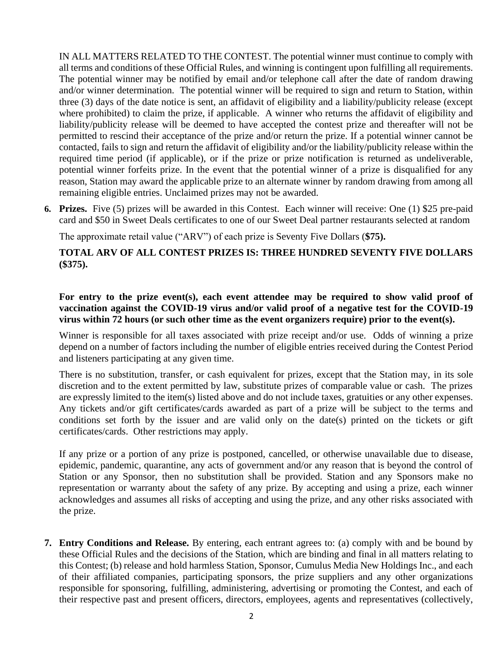IN ALL MATTERS RELATED TO THE CONTEST. The potential winner must continue to comply with all terms and conditions of these Official Rules, and winning is contingent upon fulfilling all requirements. The potential winner may be notified by email and/or telephone call after the date of random drawing and/or winner determination. The potential winner will be required to sign and return to Station, within three (3) days of the date notice is sent, an affidavit of eligibility and a liability/publicity release (except where prohibited) to claim the prize, if applicable. A winner who returns the affidavit of eligibility and liability/publicity release will be deemed to have accepted the contest prize and thereafter will not be permitted to rescind their acceptance of the prize and/or return the prize. If a potential winner cannot be contacted, fails to sign and return the affidavit of eligibility and/or the liability/publicity release within the required time period (if applicable), or if the prize or prize notification is returned as undeliverable, potential winner forfeits prize. In the event that the potential winner of a prize is disqualified for any reason, Station may award the applicable prize to an alternate winner by random drawing from among all remaining eligible entries. Unclaimed prizes may not be awarded.

**6. Prizes.** Five (5) prizes will be awarded in this Contest. Each winner will receive: One (1) \$25 pre-paid card and \$50 in Sweet Deals certificates to one of our Sweet Deal partner restaurants selected at random

The approximate retail value ("ARV") of each prize is Seventy Five Dollars (**\$75).** 

## **TOTAL ARV OF ALL CONTEST PRIZES IS: THREE HUNDRED SEVENTY FIVE DOLLARS (\$375).**

## **For entry to the prize event(s), each event attendee may be required to show valid proof of vaccination against the COVID-19 virus and/or valid proof of a negative test for the COVID-19 virus within 72 hours (or such other time as the event organizers require) prior to the event(s).**

Winner is responsible for all taxes associated with prize receipt and/or use. Odds of winning a prize depend on a number of factors including the number of eligible entries received during the Contest Period and listeners participating at any given time.

There is no substitution, transfer, or cash equivalent for prizes, except that the Station may, in its sole discretion and to the extent permitted by law, substitute prizes of comparable value or cash. The prizes are expressly limited to the item(s) listed above and do not include taxes, gratuities or any other expenses. Any tickets and/or gift certificates/cards awarded as part of a prize will be subject to the terms and conditions set forth by the issuer and are valid only on the date(s) printed on the tickets or gift certificates/cards. Other restrictions may apply.

If any prize or a portion of any prize is postponed, cancelled, or otherwise unavailable due to disease, epidemic, pandemic, quarantine, any acts of government and/or any reason that is beyond the control of Station or any Sponsor, then no substitution shall be provided. Station and any Sponsors make no representation or warranty about the safety of any prize. By accepting and using a prize, each winner acknowledges and assumes all risks of accepting and using the prize, and any other risks associated with the prize.

**7. Entry Conditions and Release.** By entering, each entrant agrees to: (a) comply with and be bound by these Official Rules and the decisions of the Station, which are binding and final in all matters relating to this Contest; (b) release and hold harmless Station, Sponsor, Cumulus Media New Holdings Inc., and each of their affiliated companies, participating sponsors, the prize suppliers and any other organizations responsible for sponsoring, fulfilling, administering, advertising or promoting the Contest, and each of their respective past and present officers, directors, employees, agents and representatives (collectively,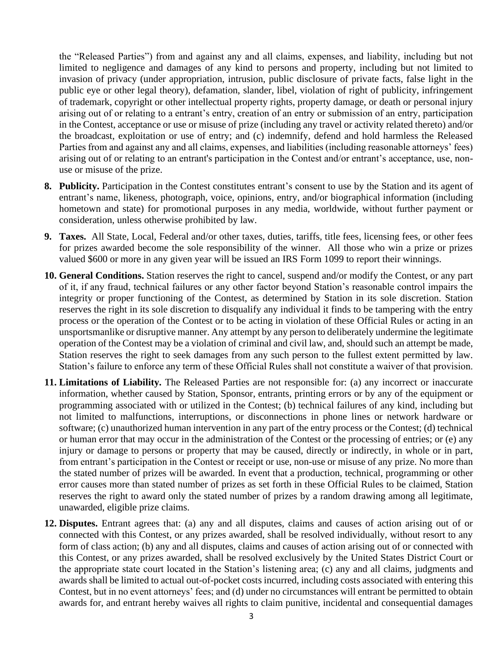the "Released Parties") from and against any and all claims, expenses, and liability, including but not limited to negligence and damages of any kind to persons and property, including but not limited to invasion of privacy (under appropriation, intrusion, public disclosure of private facts, false light in the public eye or other legal theory), defamation, slander, libel, violation of right of publicity, infringement of trademark, copyright or other intellectual property rights, property damage, or death or personal injury arising out of or relating to a entrant's entry, creation of an entry or submission of an entry, participation in the Contest, acceptance or use or misuse of prize (including any travel or activity related thereto) and/or the broadcast, exploitation or use of entry; and (c) indemnify, defend and hold harmless the Released Parties from and against any and all claims, expenses, and liabilities (including reasonable attorneys' fees) arising out of or relating to an entrant's participation in the Contest and/or entrant's acceptance, use, nonuse or misuse of the prize.

- **8. Publicity.** Participation in the Contest constitutes entrant's consent to use by the Station and its agent of entrant's name, likeness, photograph, voice, opinions, entry, and/or biographical information (including hometown and state) for promotional purposes in any media, worldwide, without further payment or consideration, unless otherwise prohibited by law.
- **9. Taxes.** All State, Local, Federal and/or other taxes, duties, tariffs, title fees, licensing fees, or other fees for prizes awarded become the sole responsibility of the winner. All those who win a prize or prizes valued \$600 or more in any given year will be issued an IRS Form 1099 to report their winnings.
- **10. General Conditions.** Station reserves the right to cancel, suspend and/or modify the Contest, or any part of it, if any fraud, technical failures or any other factor beyond Station's reasonable control impairs the integrity or proper functioning of the Contest, as determined by Station in its sole discretion. Station reserves the right in its sole discretion to disqualify any individual it finds to be tampering with the entry process or the operation of the Contest or to be acting in violation of these Official Rules or acting in an unsportsmanlike or disruptive manner. Any attempt by any person to deliberately undermine the legitimate operation of the Contest may be a violation of criminal and civil law, and, should such an attempt be made, Station reserves the right to seek damages from any such person to the fullest extent permitted by law. Station's failure to enforce any term of these Official Rules shall not constitute a waiver of that provision.
- **11. Limitations of Liability.** The Released Parties are not responsible for: (a) any incorrect or inaccurate information, whether caused by Station, Sponsor, entrants, printing errors or by any of the equipment or programming associated with or utilized in the Contest; (b) technical failures of any kind, including but not limited to malfunctions, interruptions, or disconnections in phone lines or network hardware or software; (c) unauthorized human intervention in any part of the entry process or the Contest; (d) technical or human error that may occur in the administration of the Contest or the processing of entries; or (e) any injury or damage to persons or property that may be caused, directly or indirectly, in whole or in part, from entrant's participation in the Contest or receipt or use, non-use or misuse of any prize. No more than the stated number of prizes will be awarded. In event that a production, technical, programming or other error causes more than stated number of prizes as set forth in these Official Rules to be claimed, Station reserves the right to award only the stated number of prizes by a random drawing among all legitimate, unawarded, eligible prize claims.
- **12. Disputes.** Entrant agrees that: (a) any and all disputes, claims and causes of action arising out of or connected with this Contest, or any prizes awarded, shall be resolved individually, without resort to any form of class action; (b) any and all disputes, claims and causes of action arising out of or connected with this Contest, or any prizes awarded, shall be resolved exclusively by the United States District Court or the appropriate state court located in the Station's listening area; (c) any and all claims, judgments and awards shall be limited to actual out-of-pocket costs incurred, including costs associated with entering this Contest, but in no event attorneys' fees; and (d) under no circumstances will entrant be permitted to obtain awards for, and entrant hereby waives all rights to claim punitive, incidental and consequential damages